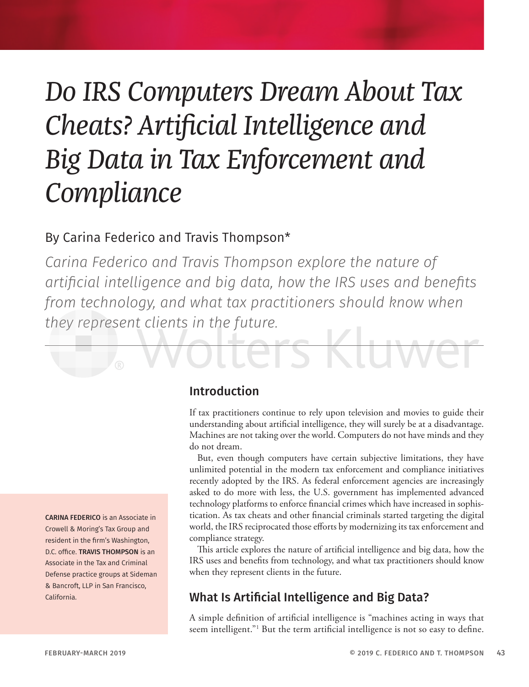# *Do IRS Computers Dream About Tax Cheats? Artificial Intelligence and Big Data in Tax Enforcement and Compliance*

# By Carina Federico and Travis Thompson\*

*Carina Federico and Travis Thompson explore the nature of artificial intelligence and big data, how the IRS uses and benefits from technology, and what tax practitioners should know when they represent clients in the future.*



#### Introduction

If tax practitioners continue to rely upon television and movies to guide their understanding about artificial intelligence, they will surely be at a disadvantage. Machines are not taking over the world. Computers do not have minds and they do not dream.

But, even though computers have certain subjective limitations, they have unlimited potential in the modern tax enforcement and compliance initiatives recently adopted by the IRS. As federal enforcement agencies are increasingly asked to do more with less, the U.S. government has implemented advanced technology platforms to enforce financial crimes which have increased in sophistication. As tax cheats and other financial criminals started targeting the digital world, the IRS reciprocated those efforts by modernizing its tax enforcement and compliance strategy.

This article explores the nature of artificial intelligence and big data, how the IRS uses and benefits from technology, and what tax practitioners should know when they represent clients in the future.

# What Is Artificial Intelligence and Big Data?

A simple definition of artificial intelligence is "machines acting in ways that seem intelligent."1 But the term artificial intelligence is not so easy to define.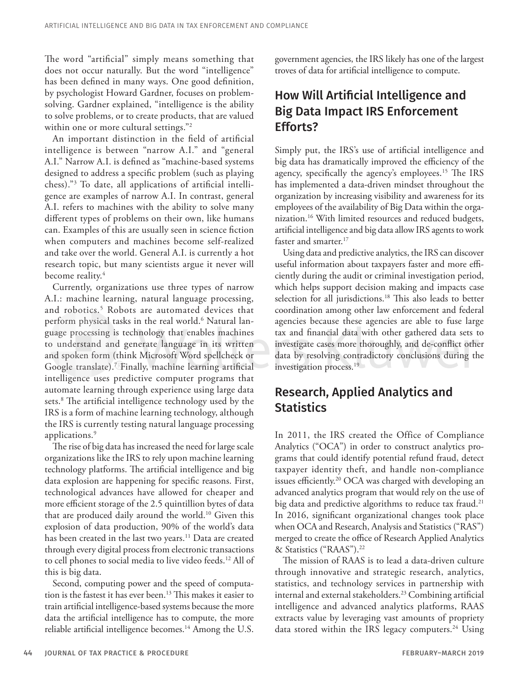The word "artificial" simply means something that does not occur naturally. But the word "intelligence" has been defined in many ways. One good definition, by psychologist Howard Gardner, focuses on problemsolving. Gardner explained, "intelligence is the ability to solve problems, or to create products, that are valued within one or more cultural settings."<sup>2</sup>

An important distinction in the field of artificial intelligence is between "narrow A.I." and "general A.I." Narrow A.I. is defined as "machine-based systems designed to address a specific problem (such as playing chess)."3 To date, all applications of artificial intelligence are examples of narrow A.I. In contrast, general A.I. refers to machines with the ability to solve many different types of problems on their own, like humans can. Examples of this are usually seen in science fiction when computers and machines become self-realized and take over the world. General A.I. is currently a hot research topic, but many scientists argue it never will become reality.<sup>4</sup>

Currently, organizations use three types of narrow A.I.: machine learning, natural language processing, and robotics.<sup>5</sup> Robots are automated devices that perform physical tasks in the real world.<sup>6</sup> Natural language processing is technology that enables machines to understand and generate language in its written and spoken form (think Microsoft Word spellcheck or Google translate).7 Finally, machine learning artificial intelligence uses predictive computer programs that automate learning through experience using large data sets.8 The artificial intelligence technology used by the IRS is a form of machine learning technology, although the IRS is currently testing natural language processing applications.<sup>9</sup>

The rise of big data has increased the need for large scale organizations like the IRS to rely upon machine learning technology platforms. The artificial intelligence and big data explosion are happening for specific reasons. First, technological advances have allowed for cheaper and more efficient storage of the 2.5 quintillion bytes of data that are produced daily around the world.<sup>10</sup> Given this explosion of data production, 90% of the world's data has been created in the last two years.<sup>11</sup> Data are created through every digital process from electronic transactions to cell phones to social media to live video feeds.12 All of this is big data.

Second, computing power and the speed of computation is the fastest it has ever been.<sup>13</sup> This makes it easier to train artificial intelligence-based systems because the more data the artificial intelligence has to compute, the more reliable artificial intelligence becomes.<sup>14</sup> Among the U.S.

government agencies, the IRS likely has one of the largest troves of data for artificial intelligence to compute.

# How Will Artificial Intelligence and Big Data Impact IRS Enforcement Efforts?

Simply put, the IRS's use of artificial intelligence and big data has dramatically improved the efficiency of the agency, specifically the agency's employees.<sup>15</sup> The IRS has implemented a data-driven mindset throughout the organization by increasing visibility and awareness for its employees of the availability of Big Data within the organization.<sup>16</sup> With limited resources and reduced budgets, artificial intelligence and big data allow IRS agents to work faster and smarter.<sup>17</sup>

Using data and predictive analytics, the IRS can discover useful information about taxpayers faster and more efficiently during the audit or criminal investigation period, which helps support decision making and impacts case selection for all jurisdictions.<sup>18</sup> This also leads to better coordination among other law enforcement and federal agencies because these agencies are able to fuse large tax and financial data with other gathered data sets to investigate cases more thoroughly, and de-conflict other data by resolving contradictory conclusions during the investigation process.<sup>19</sup>

# Research, Applied Analytics and **Statistics**

In 2011, the IRS created the Office of Compliance Analytics ("OCA") in order to construct analytics programs that could identify potential refund fraud, detect taxpayer identity theft, and handle non-compliance issues efficiently.<sup>20</sup> OCA was charged with developing an advanced analytics program that would rely on the use of big data and predictive algorithms to reduce tax fraud.<sup>21</sup> In 2016, significant organizational changes took place when OCA and Research, Analysis and Statistics ("RAS") merged to create the office of Research Applied Analytics & Statistics ("RAAS").22

The mission of RAAS is to lead a data-driven culture through innovative and strategic research, analytics, statistics, and technology services in partnership with internal and external stakeholders.23 Combining artificial intelligence and advanced analytics platforms, RAAS extracts value by leveraging vast amounts of propriety data stored within the IRS legacy computers.<sup>24</sup> Using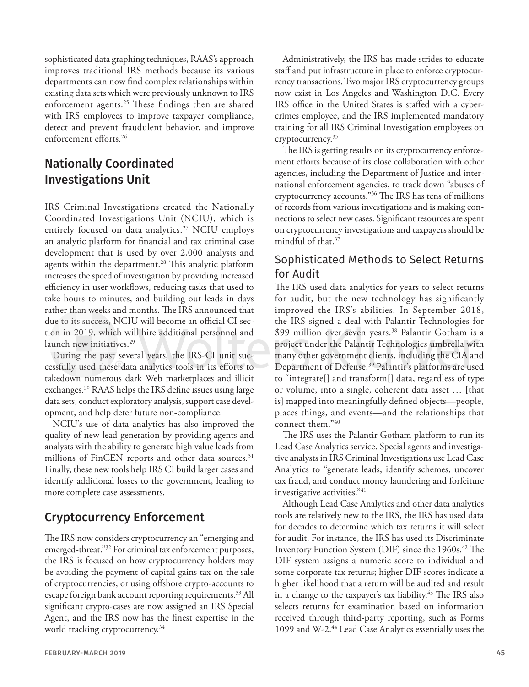sophisticated data graphing techniques, RAAS's approach improves traditional IRS methods because its various departments can now find complex relationships within existing data sets which were previously unknown to IRS enforcement agents.<sup>25</sup> These findings then are shared with IRS employees to improve taxpayer compliance, detect and prevent fraudulent behavior, and improve enforcement efforts.26

### Nationally Coordinated Investigations Unit

IRS Criminal Investigations created the Nationally Coordinated Investigations Unit (NCIU), which is entirely focused on data analytics.<sup>27</sup> NCIU employs an analytic platform for financial and tax criminal case development that is used by over 2,000 analysts and agents within the department.<sup>28</sup> This analytic platform increases the speed of investigation by providing increased efficiency in user workflows, reducing tasks that used to take hours to minutes, and building out leads in days rather than weeks and months. The IRS announced that due to its success, NCIU will become an official CI section in 2019, which will hire additional personnel and launch new initiatives.<sup>29</sup>

During the past several years, the IRS-CI unit successfully used these data analytics tools in its efforts to takedown numerous dark Web marketplaces and illicit exchanges.30 RAAS helps the IRS define issues using large data sets, conduct exploratory analysis, support case development, and help deter future non-compliance.

NCIU's use of data analytics has also improved the quality of new lead generation by providing agents and analysts with the ability to generate high value leads from millions of FinCEN reports and other data sources.<sup>31</sup> Finally, these new tools help IRS CI build larger cases and identify additional losses to the government, leading to more complete case assessments.

#### Cryptocurrency Enforcement

The IRS now considers cryptocurrency an "emerging and emerged-threat."<sup>32</sup> For criminal tax enforcement purposes, the IRS is focused on how cryptocurrency holders may be avoiding the payment of capital gains tax on the sale of cryptocurrencies, or using offshore crypto-accounts to escape foreign bank account reporting requirements.<sup>33</sup> All significant crypto-cases are now assigned an IRS Special Agent, and the IRS now has the finest expertise in the world tracking cryptocurrency.<sup>34</sup>

Administratively, the IRS has made strides to educate staff and put infrastructure in place to enforce cryptocurrency transactions. Two major IRS cryptocurrency groups now exist in Los Angeles and Washington D.C. Every IRS office in the United States is staffed with a cybercrimes employee, and the IRS implemented mandatory training for all IRS Criminal Investigation employees on cryptocurrency.35

The IRS is getting results on its cryptocurrency enforcement efforts because of its close collaboration with other agencies, including the Department of Justice and international enforcement agencies, to track down "abuses of cryptocurrency accounts."36 The IRS has tens of millions of records from various investigations and is making connections to select new cases. Significant resources are spent on cryptocurrency investigations and taxpayers should be mindful of that.37

#### Sophisticated Methods to Select Returns for Audit

The IRS used data analytics for years to select returns for audit, but the new technology has significantly improved the IRS's abilities. In September 2018, the IRS signed a deal with Palantir Technologies for \$99 million over seven years.<sup>38</sup> Palantir Gotham is a project under the Palantir Technologies umbrella with many other government clients, including the CIA and Department of Defense.39 Palantir's platforms are used to "integrate[] and transform[] data, regardless of type or volume, into a single, coherent data asset … [that is] mapped into meaningfully defined objects—people, places things, and events—and the relationships that connect them."40

The IRS uses the Palantir Gotham platform to run its Lead Case Analytics service. Special agents and investigative analysts in IRS Criminal Investigations use Lead Case Analytics to "generate leads, identify schemes, uncover tax fraud, and conduct money laundering and forfeiture investigative activities."41

Although Lead Case Analytics and other data analytics tools are relatively new to the IRS, the IRS has used data for decades to determine which tax returns it will select for audit. For instance, the IRS has used its Discriminate Inventory Function System (DIF) since the 1960s.<sup>42</sup> The DIF system assigns a numeric score to individual and some corporate tax returns; higher DIF scores indicate a higher likelihood that a return will be audited and result in a change to the taxpayer's tax liability.<sup>43</sup> The IRS also selects returns for examination based on information received through third-party reporting, such as Forms 1099 and W-2.44 Lead Case Analytics essentially uses the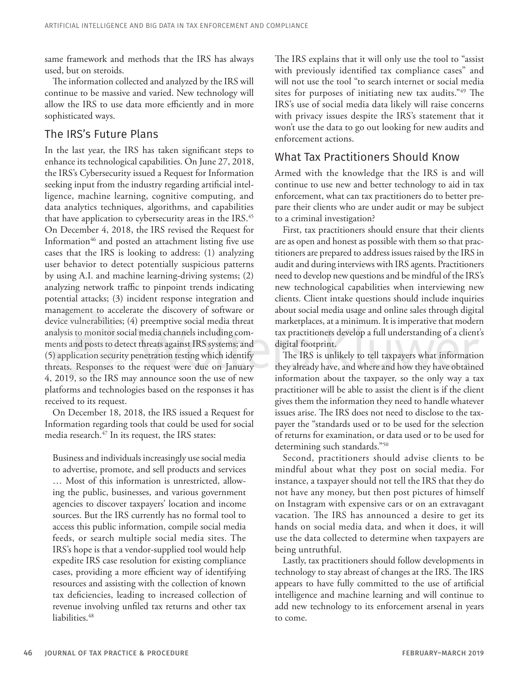same framework and methods that the IRS has always used, but on steroids.

The information collected and analyzed by the IRS will continue to be massive and varied. New technology will allow the IRS to use data more efficiently and in more sophisticated ways.

#### The IRS's Future Plans

In the last year, the IRS has taken significant steps to enhance its technological capabilities. On June 27, 2018, the IRS's Cybersecurity issued a Request for Information seeking input from the industry regarding artificial intelligence, machine learning, cognitive computing, and data analytics techniques, algorithms, and capabilities that have application to cybersecurity areas in the IRS.<sup>45</sup> On December 4, 2018, the IRS revised the Request for Information<sup>46</sup> and posted an attachment listing five use cases that the IRS is looking to address: (1) analyzing user behavior to detect potentially suspicious patterns by using A.I. and machine learning-driving systems; (2) analyzing network traffic to pinpoint trends indicating potential attacks; (3) incident response integration and management to accelerate the discovery of software or device vulnerabilities; (4) preemptive social media threat analysis to monitor social media channels including comments and posts to detect threats against IRS systems; and (5) application security penetration testing which identify threats. Responses to the request were due on January 4, 2019, so the IRS may announce soon the use of new platforms and technologies based on the responses it has received to its request.

On December 18, 2018, the IRS issued a Request for Information regarding tools that could be used for social media research.<sup>47</sup> In its request, the IRS states:

Business and individuals increasingly use social media to advertise, promote, and sell products and services … Most of this information is unrestricted, allowing the public, businesses, and various government agencies to discover taxpayers' location and income sources. But the IRS currently has no formal tool to access this public information, compile social media feeds, or search multiple social media sites. The IRS's hope is that a vendor-supplied tool would help expedite IRS case resolution for existing compliance cases, providing a more efficient way of identifying resources and assisting with the collection of known tax deficiencies, leading to increased collection of revenue involving unfiled tax returns and other tax liabilities.<sup>48</sup>

The IRS explains that it will only use the tool to "assist with previously identified tax compliance cases" and will not use the tool "to search internet or social media sites for purposes of initiating new tax audits."49 The IRS's use of social media data likely will raise concerns with privacy issues despite the IRS's statement that it won't use the data to go out looking for new audits and enforcement actions.

#### What Tax Practitioners Should Know

Armed with the knowledge that the IRS is and will continue to use new and better technology to aid in tax enforcement, what can tax practitioners do to better prepare their clients who are under audit or may be subject to a criminal investigation?

First, tax practitioners should ensure that their clients are as open and honest as possible with them so that practitioners are prepared to address issues raised by the IRS in audit and during interviews with IRS agents. Practitioners need to develop new questions and be mindful of the IRS's new technological capabilities when interviewing new clients. Client intake questions should include inquiries about social media usage and online sales through digital marketplaces, at a minimum. It is imperative that modern tax practitioners develop a full understanding of a client's digital footprint.

The IRS is unlikely to tell taxpayers what information they already have, and where and how they have obtained information about the taxpayer, so the only way a tax practitioner will be able to assist the client is if the client gives them the information they need to handle whatever issues arise. The IRS does not need to disclose to the taxpayer the "standards used or to be used for the selection of returns for examination, or data used or to be used for determining such standards."50

Second, practitioners should advise clients to be mindful about what they post on social media. For instance, a taxpayer should not tell the IRS that they do not have any money, but then post pictures of himself on Instagram with expensive cars or on an extravagant vacation. The IRS has announced a desire to get its hands on social media data, and when it does, it will use the data collected to determine when taxpayers are being untruthful.

Lastly, tax practitioners should follow developments in technology to stay abreast of changes at the IRS. The IRS appears to have fully committed to the use of artificial intelligence and machine learning and will continue to add new technology to its enforcement arsenal in years to come.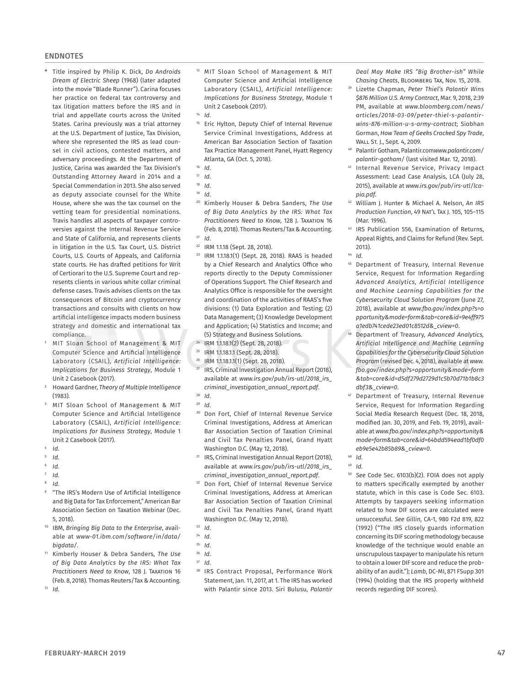#### **ENDNOTES**

- \* Title inspired by Philip K. Dick, *Do Androids Dream of Electric Sheep* (1968) (later adapted into the movie "Blade Runner"). Carina focuses her practice on federal tax controversy and tax litigation matters before the IRS and in trial and appellate courts across the United States. Carina previously was a trial attorney at the U.S. Department of Justice, Tax Division, where she represented the IRS as lead counsel in civil actions, contested matters, and adversary proceedings. At the Department of Justice, Carina was awarded the Tax Division's Outstanding Attorney Award in 2014 and a Special Commendation in 2013. She also served as deputy associate counsel for the White House, where she was the tax counsel on the vetting team for presidential nominations. Travis handles all aspects of taxpayer controversies against the Internal Revenue Service and State of California, and represents clients in litigation in the U.S. Tax Court, U.S. District Courts, U.S. Courts of Appeals, and California state courts. He has drafted petitions for Writ of Certiorari to the U.S. Supreme Court and represents clients in various white collar criminal defense cases. Travis advises clients on the tax consequences of Bitcoin and cryptocurrency transactions and consults with clients on how artificial intelligence impacts modern business strategy and domestic and international tax compliance.
- MIT Sloan School of Management & MIT Computer Science and Artificial Intelligence Laboratory (CSAIL), *Artificial Intelligence: Implications for Business Strategy*, Module 1 Unit 2 Casebook (2017).
- <sup>2</sup> Howard Gardner, *Theory of Multiple Intelligence* (1983).
- <sup>3</sup> MIT Sloan School of Management & MIT Computer Science and Artificial Intelligence Laboratory (CSAIL), *Artificial Intelligence: Implications for Business Strategy*, Module 1 Unit 2 Casebook (2017).
- <sup>4</sup> *Id*.
- <sup>5</sup> *Id*.
- <sup>6</sup> *Id*.
- <sup>7</sup> *Id*. <sup>8</sup> *Id*.
- 
- "The IRS's Modern Use of Artificial Intelligence and Big Data for Tax Enforcement," American Bar Association Section on Taxation Webinar (Dec. 5, 2018).
- <sup>10</sup> IBM, *Bringing Big Data to the Enterprise*, available at *www-01.ibm.com/software/in/data/ bigdata/*.
- <sup>11</sup> Kimberly Houser & Debra Sanders, *The Use of Big Data Analytics by the IRS: What Tax Practitioners Need to Know*, 128 J. Taxation 16 (Feb. 8, 2018). Thomas Reuters/Tax & Accounting.

 $12$  *Id.* 

- <sup>13</sup> MIT Sloan School of Management & MIT Computer Science and Artificial Intelligence Laboratory (CSAIL), *Artificial Intelligence: Implications for Business Strategy*, Module 1 Unit 2 Casebook (2017).
- <sup>14</sup> *Id*.
- Eric Hylton, Deputy Chief of Internal Revenue Service Criminal Investigations, Address at American Bar Association Section of Taxation Tax Practice Management Panel, Hyatt Regency Atlanta, GA (Oct. 5, 2018).
- $16$  *Id.*<br> $17$  *Id.*
- <sup>17</sup> *Id*.
- <sup>18</sup> *Id*.
- <sup>19</sup> *Id*.
- <sup>20</sup> Kimberly Houser & Debra Sanders, *The Use of Big Data Analytics by the IRS: What Tax*  **Practitioners Need to Know, 128 I. TAXATION 16** (Feb. 8, 2018). Thomas Reuters/Tax & Accounting.
- <sup>21</sup> *Id*.
- <sup>22</sup> IRM 1.1.18 (Sept. 28, 2018).
- <sup>23</sup> IRM 1.1.18.1(1) (Sept. 28, 2018). RAAS is headed by a Chief Research and Analytics Office who reports directly to the Deputy Commissioner of Operations Support. The Chief Research and Analytics Office is responsible for the oversight and coordination of the activities of RAAS's five divisions: (1) Data Exploration and Testing; (2) Data Management; (3) Knowledge Development and Application; (4) Statistics and Income; and (5) Strategy and Business Solutions.
- <sup>24</sup> IRM 1.1.18.1(2) (Sept. 28, 2018).
- <sup>25</sup> IRM 1.1.18.1.1 (Sept. 28, 2018).
- $^{26}$  IRM 1.1.18.1.1(1) (Sept. 28, 2018).
- IRS, Criminal Investigation Annual Report (2018), available at *www.irs.gov/pub/irs-utl/2018\_irs\_ criminal\_investigation\_annual\_report.pdf*. <sup>28</sup> *Id*.
- 
- $^{29}$  *Id*.<br> $^{30}$  Do Don Fort, Chief of Internal Revenue Service Criminal Investigations, Address at American Bar Association Section of Taxation Criminal and Civil Tax Penalties Panel, Grand Hyatt Washington D.C. (May 12, 2018).
- <sup>31</sup> IRS, Criminal Investigation Annual Report (2018), available at *www.irs.gov/pub/irs-utl/2018\_irs\_ criminal\_investigation\_annual\_report.pdf*.
- Don Fort, Chief of Internal Revenue Service Criminal Investigations, Address at American Bar Association Section of Taxation Criminal and Civil Tax Penalties Panel, Grand Hyatt Washington D.C. (May 12, 2018).
- <sup>33</sup> *Id*.

*Deal May Make IRS "Big Brother-ish" While Chasing Cheats*, Bloomberg Tax, Nov. 15, 2018.

- <sup>39</sup> Lizette Chapman, *Peter Thiel's Palantir Wins \$876 Million U.S. Army Contract*, Mar. 9, 2018, 2:39 PM, available at *www.bloomberg.com/news/ articles/2018-03-09/peter-thiel-s-palantirwins-876-million-u-s-army-contract*; Siobhan Gorman, *How Team of Geeks Cracked Spy Trade*, Wall St. J., Sept. 4, 2009.
- <sup>40</sup> Palantir Gotham, Palantir.com*www.palantir.com/ palantir-gotham/* (last visited Mar. 12, 2018).
- <sup>41</sup> Internal Revenue Service, Privacy Impact Assessment: Lead Case Analysis, LCA (July 28, 2015), available at *www.irs.gov/pub/irs-utl/lcapia.pdf*.
- <sup>42</sup> William J. Hunter & Michael A. Nelson, *An IRS Production Function*, 49 Nat'l Tax J. 105, 105–115 (Mar. 1996).
- <sup>43</sup> IRS Publication 556, Examination of Returns, Appeal Rights, and Claims for Refund (Rev. Sept. 2013).
- <sup>44</sup> *Id*.
- <sup>45</sup> Department of Treasury, Internal Revenue Service, Request for Information Regarding *Advanced Analytics, Artificial Intelligence and Machine Learning Capabilities for the Cybersecurity Cloud Solution Program* (June 27, 2018), available at *www.fbo.gov/index.php?s=o pportunity&mode=form&tab=core&id=9e4ff975 a1edb741cede23ed01c8512d&\_cview=0*.
- <sup>46</sup> Department of Treasury, *Advanced Analytics, Artificial Intelligence and Machine Learning Capabilities for the Cybersecurity Cloud Solution Program* (revised Dec. 4, 2018), available at *www. fbo.gov/index.php?s=opportunity&mode=form &tab=core&id=d5df279d2729d1c5b70d71b1b8c3 dbf3&\_cview=0*.
- <sup>47</sup> Department of Treasury, Internal Revenue Service, Request for Information Regarding Social Media Research Request (Dec. 18, 2018, modified Jan. 30, 2019, and Feb. 19, 2019), available at *www.fbo.gov/index.php?s=opportunity& mode=form&tab=core&id=64bdd594ead1bf0df0 eb9e5e42b85b89&\_cview=0*.
- <sup>48</sup> *Id*. <sup>49</sup> *Id*.
- <sup>50</sup> *See* Code Sec. 6103(b)(2). FOIA does not apply to matters specifically exempted by another statute, which in this case is Code Sec. 6103. Attempts by taxpayers seeking information related to how DIF scores are calculated were unsuccessful. *See Gillin*, CA-1, 980 F2d 819, 822 (1992) ("The IRS closely guards information concerning its DIF scoring methodology because knowledge of the technique would enable an unscrupulous taxpayer to manipulate his return to obtain a lower DIF score and reduce the probability of an audit."); *Lamb*, DC-MI, 871 FSupp 301 (1994) (holding that the IRS properly withheld records regarding DIF scores).

<sup>34</sup> *Id*.

<sup>35</sup> *Id*.

<sup>36</sup> *Id*. <sup>37</sup> *Id*.

<sup>38</sup> IRS Contract Proposal, Performance Work Statement, Jan. 11, 2017, at 1. The IRS has worked with Palantir since 2013. Siri Bulusu, *Palantir*